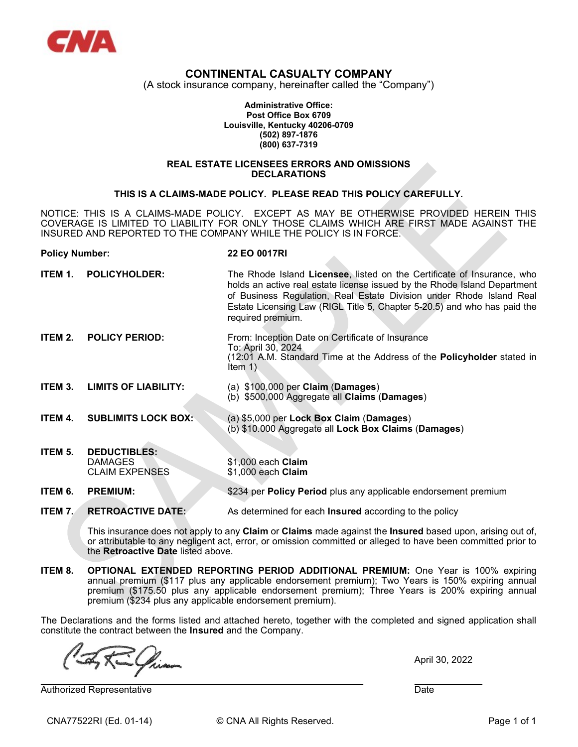

# CONTINENTAL CASUALTY COMPANY

(A stock insurance company, hereinafter called the "Company")

Administrative Office: Post Office Box 6709 Louisville, Kentucky 40206-0709 (502) 897-1876 (800) 637-7319

#### REAL ESTATE LICENSEES ERRORS AND OMISSIONS **DECLARATIONS**

#### THIS IS A CLAIMS-MADE POLICY. PLEASE READ THIS POLICY CAREFULLY.

NOTICE: THIS IS A CLAIMS-MADE POLICY. EXCEPT AS MAY BE OTHERWISE PROVIDED HEREIN THIS COVERAGE IS LIMITED TO LIABILITY FOR ONLY THOSE CLAIMS WHICH ARE FIRST MADE AGAINST THE INSURED AND REPORTED TO THE COMPANY WHILE THE POLICY IS IN FORCE.

# Policy Number: 22 EO 0017RI **ITEM 1. POLICYHOLDER:** The Rhode Island Licensee, listed on the Certificate of Insurance, who holds an active real estate license issued by the Rhode Island Department of Business Regulation, Real Estate Division under Rhode Island Real Estate Licensing Law (RIGL Title 5, Chapter 5-20.5) and who has paid the required premium. ITEM 2. POLICY PERIOD: From: Inception Date on Certificate of Insurance

- To: April 30, 2024 (12:01 A.M. Standard Time at the Address of the Policyholder stated in Item 1)
- ITEM 3. LIMITS OF LIABILITY: (a) \$100,000 per Claim (Damages) (b) \$500,000 Aggregate all Claims (Damages)
- ITEM 4. SUBLIMITS LOCK BOX: (a) \$5,000 per Lock Box Claim (Damages)
- **ITEM 5. DEDUCTIBLES:**<br>DAMAGES \$1,000 each **Claim**<br>\$1,000 each **Claim CLAIM EXPENSES**

 $\mathcal{L}_\text{max}$  and  $\mathcal{L}_\text{max}$  are the set of the set of the set of the set of the set of the set of the set of the set of the set of the set of the set of the set of the set of the set of the set of the set of the set o

ITEM 6. PREMIUM: \$234 per Policy Period plus any applicable endorsement premium

**ITEM 7.** RETROACTIVE DATE: As determined for each Insured according to the policy

This insurance does not apply to any Claim or Claims made against the Insured based upon, arising out of, or attributable to any negligent act, error, or omission committed or alleged to have been committed prior to the Retroactive Date listed above.

(b) \$10.000 Aggregate all Lock Box Claims (Damages)

ITEM 8. OPTIONAL EXTENDED REPORTING PERIOD ADDITIONAL PREMIUM: One Year is 100% expiring annual premium (\$117 plus any applicable endorsement premium); Two Years is 150% expiring annual premium (\$175.50 plus any applicable endorsement premium); Three Years is 200% expiring annual premium (\$234 plus any applicable endorsement premium).

The Declarations and the forms listed and attached hereto, together with the completed and signed application shall constitute the contract between the Insured and the Company.

April 30, 2022

Authorized Representative **Date** Date **Date Controllering Controllering Controllering Controllering Controllering Controllering Controllering Controllering Controllering Controllering Controllering Controllering Controller** 

CNA77522RI (Ed. 01-14) © CNA All Rights Reserved. Page 1 of 1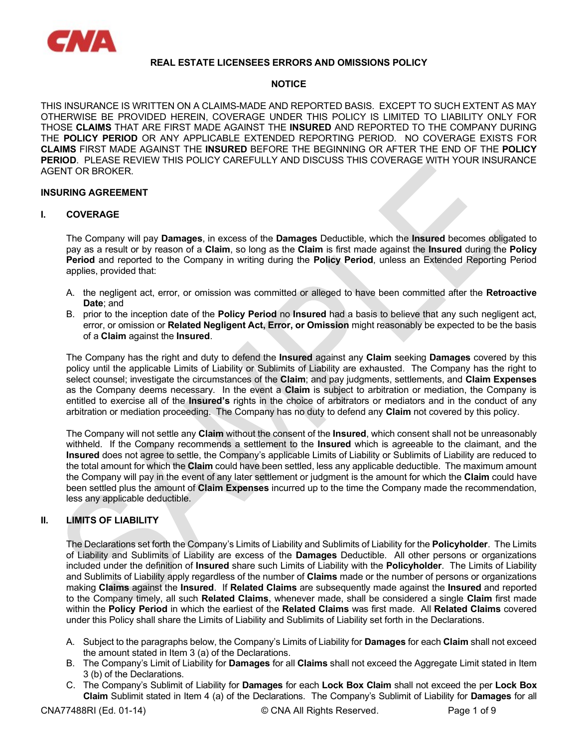

## REAL ESTATE LICENSEES ERRORS AND OMISSIONS POLICY

## **NOTICE**

THIS INSURANCE IS WRITTEN ON A CLAIMS-MADE AND REPORTED BASIS. EXCEPT TO SUCH EXTENT AS MAY OTHERWISE BE PROVIDED HEREIN, COVERAGE UNDER THIS POLICY IS LIMITED TO LIABILITY ONLY FOR THOSE CLAIMS THAT ARE FIRST MADE AGAINST THE INSURED AND REPORTED TO THE COMPANY DURING THE POLICY PERIOD OR ANY APPLICABLE EXTENDED REPORTING PERIOD. NO COVERAGE EXISTS FOR CLAIMS FIRST MADE AGAINST THE INSURED BEFORE THE BEGINNING OR AFTER THE END OF THE POLICY PERIOD. PLEASE REVIEW THIS POLICY CAREFULLY AND DISCUSS THIS COVERAGE WITH YOUR INSURANCE AGENT OR BROKER.

# INSURING AGREEMENT

#### I. COVERAGE

The Company will pay **Damages**, in excess of the **Damages** Deductible, which the **Insured** becomes obligated to pay as a result or by reason of a Claim, so long as the Claim is first made against the Insured during the Policy Period and reported to the Company in writing during the Policy Period, unless an Extended Reporting Period applies, provided that:

- A. the negligent act, error, or omission was committed or alleged to have been committed after the Retroactive Date; and
- B. prior to the inception date of the **Policy Period** no **Insured** had a basis to believe that any such negligent act, error, or omission or Related Negligent Act, Error, or Omission might reasonably be expected to be the basis of a Claim against the Insured.

The Company has the right and duty to defend the Insured against any Claim seeking Damages covered by this policy until the applicable Limits of Liability or Sublimits of Liability are exhausted. The Company has the right to select counsel; investigate the circumstances of the Claim; and pay judgments, settlements, and Claim Expenses as the Company deems necessary. In the event a **Claim** is subject to arbitration or mediation, the Company is entitled to exercise all of the **Insured's** rights in the choice of arbitrators or mediators and in the conduct of any arbitration or mediation proceeding. The Company has no duty to defend any Claim not covered by this policy.

The Company will not settle any Claim without the consent of the Insured, which consent shall not be unreasonably withheld. If the Company recommends a settlement to the Insured which is agreeable to the claimant, and the Insured does not agree to settle, the Company's applicable Limits of Liability or Sublimits of Liability are reduced to the total amount for which the Claim could have been settled, less any applicable deductible. The maximum amount the Company will pay in the event of any later settlement or judgment is the amount for which the Claim could have been settled plus the amount of Claim Expenses incurred up to the time the Company made the recommendation, less any applicable deductible.

# II. LIMITS OF LIABILITY

The Declarations set forth the Company's Limits of Liability and Sublimits of Liability for the Policyholder. The Limits of Liability and Sublimits of Liability are excess of the Damages Deductible. All other persons or organizations included under the definition of Insured share such Limits of Liability with the Policyholder. The Limits of Liability and Sublimits of Liability apply regardless of the number of Claims made or the number of persons or organizations making Claims against the Insured. If Related Claims are subsequently made against the Insured and reported to the Company timely, all such Related Claims, whenever made, shall be considered a single Claim first made within the Policy Period in which the earliest of the Related Claims was first made. All Related Claims covered under this Policy shall share the Limits of Liability and Sublimits of Liability set forth in the Declarations.

- A. Subject to the paragraphs below, the Company's Limits of Liability for **Damages** for each **Claim** shall not exceed the amount stated in Item 3 (a) of the Declarations.
- B. The Company's Limit of Liability for Damages for all Claims shall not exceed the Aggregate Limit stated in Item 3 (b) of the Declarations.
- C. The Company's Sublimit of Liability for Damages for each Lock Box Claim shall not exceed the per Lock Box Claim Sublimit stated in Item 4 (a) of the Declarations. The Company's Sublimit of Liability for Damages for all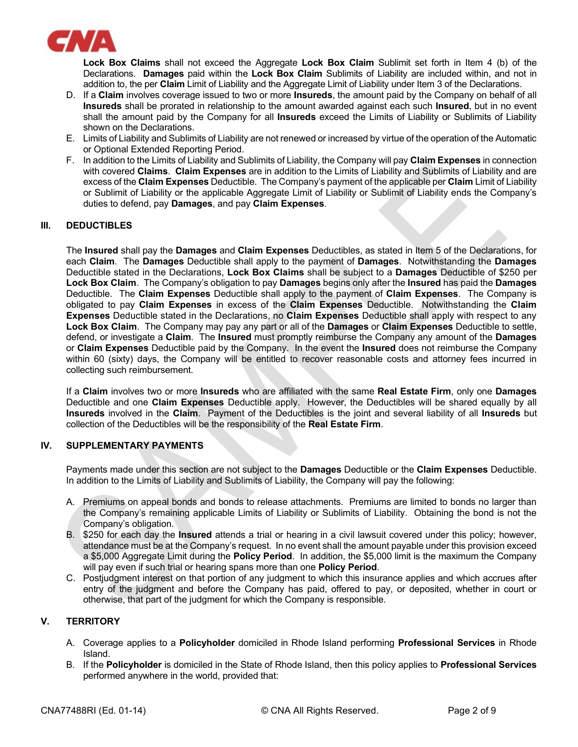

Lock Box Claims shall not exceed the Aggregate Lock Box Claim Sublimit set forth in Item 4 (b) of the Declarations. Damages paid within the Lock Box Claim Sublimits of Liability are included within, and not in addition to, the per Claim Limit of Liability and the Aggregate Limit of Liability under Item 3 of the Declarations.

- D. If a Claim involves coverage issued to two or more Insureds, the amount paid by the Company on behalf of all Insureds shall be prorated in relationship to the amount awarded against each such Insured, but in no event shall the amount paid by the Company for all Insureds exceed the Limits of Liability or Sublimits of Liability shown on the Declarations.
- E. Limits of Liability and Sublimits of Liability are not renewed or increased by virtue of the operation of the Automatic or Optional Extended Reporting Period.
- F. In addition to the Limits of Liability and Sublimits of Liability, the Company will pay Claim Expenses in connection with covered Claims. Claim Expenses are in addition to the Limits of Liability and Sublimits of Liability and are excess of the Claim Expenses Deductible. The Company's payment of the applicable per Claim Limit of Liability or Sublimit of Liability or the applicable Aggregate Limit of Liability or Sublimit of Liability ends the Company's duties to defend, pay Damages, and pay Claim Expenses.

## III. DEDUCTIBLES

The Insured shall pay the Damages and Claim Expenses Deductibles, as stated in Item 5 of the Declarations, for each Claim. The Damages Deductible shall apply to the payment of Damages. Notwithstanding the Damages Deductible stated in the Declarations, Lock Box Claims shall be subject to a Damages Deductible of \$250 per Lock Box Claim. The Company's obligation to pay Damages begins only after the Insured has paid the Damages Deductible. The Claim Expenses Deductible shall apply to the payment of Claim Expenses. The Company is obligated to pay Claim Expenses in excess of the Claim Expenses Deductible. Notwithstanding the Claim Expenses Deductible stated in the Declarations, no Claim Expenses Deductible shall apply with respect to any Lock Box Claim. The Company may pay any part or all of the Damages or Claim Expenses Deductible to settle, defend, or investigate a Claim. The Insured must promptly reimburse the Company any amount of the Damages or Claim Expenses Deductible paid by the Company. In the event the Insured does not reimburse the Company within 60 (sixty) days, the Company will be entitled to recover reasonable costs and attorney fees incurred in collecting such reimbursement.

If a Claim involves two or more Insureds who are affiliated with the same Real Estate Firm, only one Damages Deductible and one Claim Expenses Deductible apply. However, the Deductibles will be shared equally by all Insureds involved in the Claim. Payment of the Deductibles is the joint and several liability of all Insureds but collection of the Deductibles will be the responsibility of the Real Estate Firm.

## IV. SUPPLEMENTARY PAYMENTS

Payments made under this section are not subject to the Damages Deductible or the Claim Expenses Deductible. In addition to the Limits of Liability and Sublimits of Liability, the Company will pay the following:

- A. Premiums on appeal bonds and bonds to release attachments. Premiums are limited to bonds no larger than the Company's remaining applicable Limits of Liability or Sublimits of Liability. Obtaining the bond is not the Company's obligation.
- B. \$250 for each day the Insured attends a trial or hearing in a civil lawsuit covered under this policy; however, attendance must be at the Company's request. In no event shall the amount payable under this provision exceed a \$5,000 Aggregate Limit during the Policy Period. In addition, the \$5,000 limit is the maximum the Company will pay even if such trial or hearing spans more than one **Policy Period**.
- C. Postjudgment interest on that portion of any judgment to which this insurance applies and which accrues after entry of the judgment and before the Company has paid, offered to pay, or deposited, whether in court or otherwise, that part of the judgment for which the Company is responsible.

# V. TERRITORY

- A. Coverage applies to a Policyholder domiciled in Rhode Island performing Professional Services in Rhode Island.
- B. If the Policyholder is domiciled in the State of Rhode Island, then this policy applies to Professional Services performed anywhere in the world, provided that: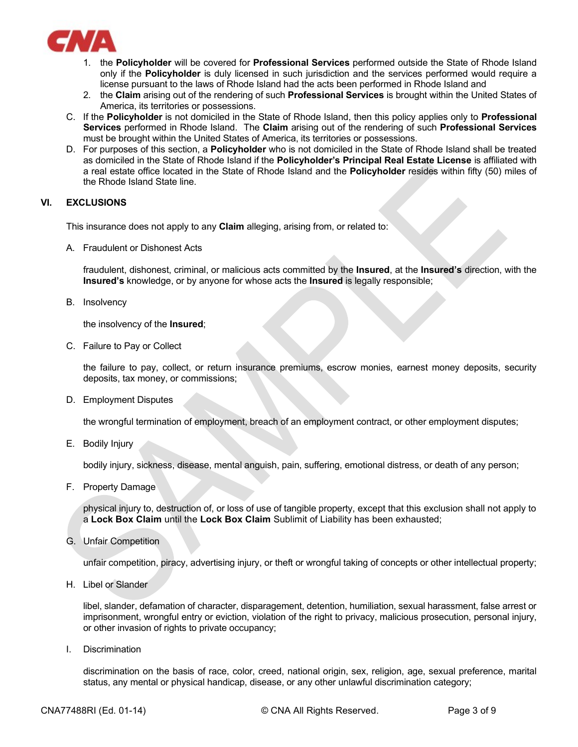

- 1. the Policyholder will be covered for Professional Services performed outside the State of Rhode Island only if the Policyholder is duly licensed in such jurisdiction and the services performed would require a license pursuant to the laws of Rhode Island had the acts been performed in Rhode Island and
- 2. the Claim arising out of the rendering of such **Professional Services** is brought within the United States of America, its territories or possessions.
- C. If the Policyholder is not domiciled in the State of Rhode Island, then this policy applies only to Professional Services performed in Rhode Island. The Claim arising out of the rendering of such Professional Services must be brought within the United States of America, its territories or possessions.
- D. For purposes of this section, a **Policyholder** who is not domiciled in the State of Rhode Island shall be treated as domiciled in the State of Rhode Island if the Policyholder's Principal Real Estate License is affiliated with a real estate office located in the State of Rhode Island and the Policyholder resides within fifty (50) miles of the Rhode Island State line.

# VI. EXCLUSIONS

This insurance does not apply to any **Claim** alleging, arising from, or related to:

A. Fraudulent or Dishonest Acts

fraudulent, dishonest, criminal, or malicious acts committed by the Insured, at the Insured's direction, with the Insured's knowledge, or by anyone for whose acts the Insured is legally responsible;

B. Insolvency

the insolvency of the Insured;

C. Failure to Pay or Collect

 the failure to pay, collect, or return insurance premiums, escrow monies, earnest money deposits, security deposits, tax money, or commissions;

D. Employment Disputes

the wrongful termination of employment, breach of an employment contract, or other employment disputes;

E. Bodily Injury

bodily injury, sickness, disease, mental anguish, pain, suffering, emotional distress, or death of any person;

F. Property Damage

 physical injury to, destruction of, or loss of use of tangible property, except that this exclusion shall not apply to a Lock Box Claim until the Lock Box Claim Sublimit of Liability has been exhausted;

G. Unfair Competition

unfair competition, piracy, advertising injury, or theft or wrongful taking of concepts or other intellectual property;

H. Libel or Slander

libel, slander, defamation of character, disparagement, detention, humiliation, sexual harassment, false arrest or imprisonment, wrongful entry or eviction, violation of the right to privacy, malicious prosecution, personal injury, or other invasion of rights to private occupancy;

I. Discrimination

discrimination on the basis of race, color, creed, national origin, sex, religion, age, sexual preference, marital status, any mental or physical handicap, disease, or any other unlawful discrimination category;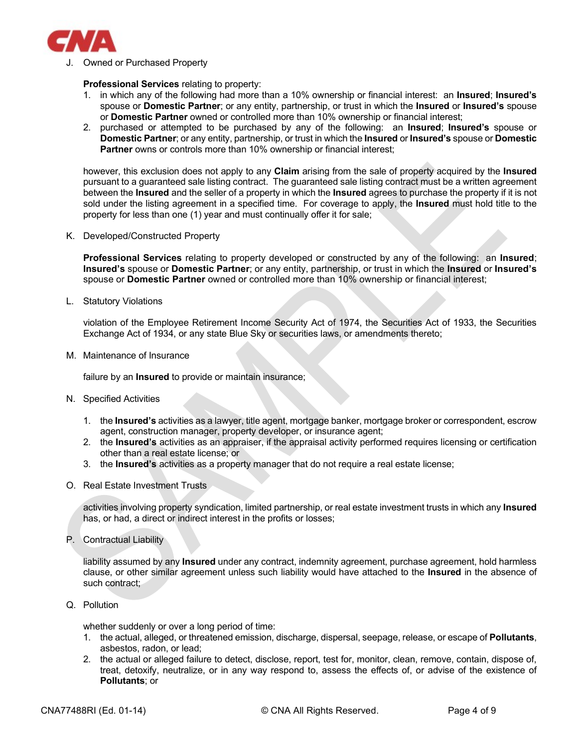

J. Owned or Purchased Property

#### Professional Services relating to property:

- 1. in which any of the following had more than a 10% ownership or financial interest: an Insured; Insured's spouse or Domestic Partner; or any entity, partnership, or trust in which the Insured or Insured's spouse or Domestic Partner owned or controlled more than 10% ownership or financial interest;
- 2. purchased or attempted to be purchased by any of the following: an **Insured; Insured's** spouse or Domestic Partner; or any entity, partnership, or trust in which the Insured or Insured's spouse or Domestic **Partner** owns or controls more than 10% ownership or financial interest:

however, this exclusion does not apply to any **Claim** arising from the sale of property acquired by the **Insured** pursuant to a guaranteed sale listing contract. The guaranteed sale listing contract must be a written agreement between the Insured and the seller of a property in which the Insured agrees to purchase the property if it is not sold under the listing agreement in a specified time. For coverage to apply, the **Insured** must hold title to the property for less than one (1) year and must continually offer it for sale;

K. Developed/Constructed Property

Professional Services relating to property developed or constructed by any of the following: an Insured; Insured's spouse or Domestic Partner; or any entity, partnership, or trust in which the Insured or Insured's spouse or Domestic Partner owned or controlled more than 10% ownership or financial interest;

L. Statutory Violations

violation of the Employee Retirement Income Security Act of 1974, the Securities Act of 1933, the Securities Exchange Act of 1934, or any state Blue Sky or securities laws, or amendments thereto;

M. Maintenance of Insurance

failure by an **Insured** to provide or maintain insurance;

- N. Specified Activities
	- 1. the Insured's activities as a lawyer, title agent, mortgage banker, mortgage broker or correspondent, escrow agent, construction manager, property developer, or insurance agent;
	- 2. the Insured's activities as an appraiser, if the appraisal activity performed requires licensing or certification other than a real estate license; or
	- 3. the Insured's activities as a property manager that do not require a real estate license;
- O. Real Estate Investment Trusts

activities involving property syndication, limited partnership, or real estate investment trusts in which any Insured has, or had, a direct or indirect interest in the profits or losses;

P. Contractual Liability

liability assumed by any **Insured** under any contract, indemnity agreement, purchase agreement, hold harmless clause, or other similar agreement unless such liability would have attached to the Insured in the absence of such contract:

Q. Pollution

whether suddenly or over a long period of time:

- 1. the actual, alleged, or threatened emission, discharge, dispersal, seepage, release, or escape of Pollutants, asbestos, radon, or lead;
- 2. the actual or alleged failure to detect, disclose, report, test for, monitor, clean, remove, contain, dispose of, treat, detoxify, neutralize, or in any way respond to, assess the effects of, or advise of the existence of Pollutants; or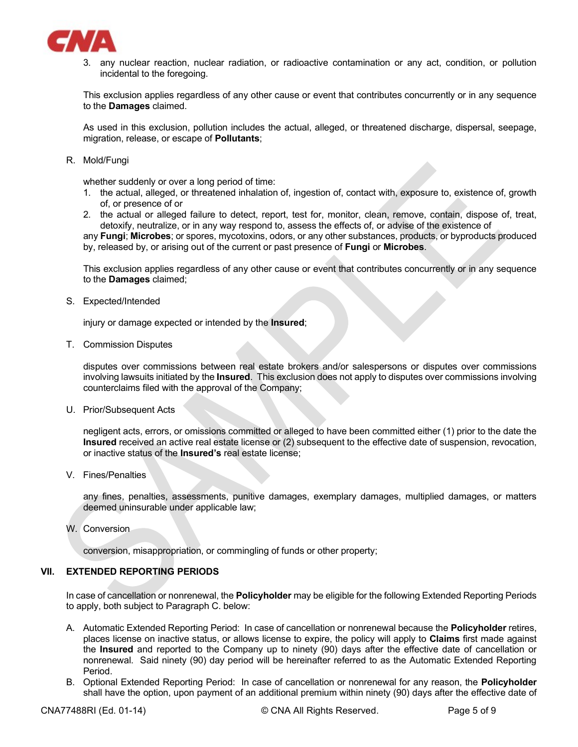

3. any nuclear reaction, nuclear radiation, or radioactive contamination or any act, condition, or pollution incidental to the foregoing.

This exclusion applies regardless of any other cause or event that contributes concurrently or in any sequence to the Damages claimed.

As used in this exclusion, pollution includes the actual, alleged, or threatened discharge, dispersal, seepage, migration, release, or escape of Pollutants;

R. Mold/Fungi

whether suddenly or over a long period of time:

- 1. the actual, alleged, or threatened inhalation of, ingestion of, contact with, exposure to, existence of, growth of, or presence of or
- 2. the actual or alleged failure to detect, report, test for, monitor, clean, remove, contain, dispose of, treat, detoxify, neutralize, or in any way respond to, assess the effects of, or advise of the existence of

any **Fungi; Microbes**; or spores, mycotoxins, odors, or any other substances, products, or byproducts produced by, released by, or arising out of the current or past presence of Fungi or Microbes.

This exclusion applies regardless of any other cause or event that contributes concurrently or in any sequence to the Damages claimed;

S. Expected/Intended

injury or damage expected or intended by the Insured;

T. Commission Disputes

disputes over commissions between real estate brokers and/or salespersons or disputes over commissions involving lawsuits initiated by the Insured. This exclusion does not apply to disputes over commissions involving counterclaims filed with the approval of the Company;

U. Prior/Subsequent Acts

negligent acts, errors, or omissions committed or alleged to have been committed either (1) prior to the date the Insured received an active real estate license or (2) subsequent to the effective date of suspension, revocation, or inactive status of the Insured's real estate license;

V. Fines/Penalties

any fines, penalties, assessments, punitive damages, exemplary damages, multiplied damages, or matters deemed uninsurable under applicable law;

W. Conversion

conversion, misappropriation, or commingling of funds or other property;

## VII. EXTENDED REPORTING PERIODS

In case of cancellation or nonrenewal, the **Policyholder** may be eligible for the following Extended Reporting Periods to apply, both subject to Paragraph C. below:

- A. Automatic Extended Reporting Period: In case of cancellation or nonrenewal because the Policyholder retires, places license on inactive status, or allows license to expire, the policy will apply to Claims first made against the Insured and reported to the Company up to ninety (90) days after the effective date of cancellation or nonrenewal. Said ninety (90) day period will be hereinafter referred to as the Automatic Extended Reporting Period.
- B. Optional Extended Reporting Period: In case of cancellation or nonrenewal for any reason, the Policyholder shall have the option, upon payment of an additional premium within ninety (90) days after the effective date of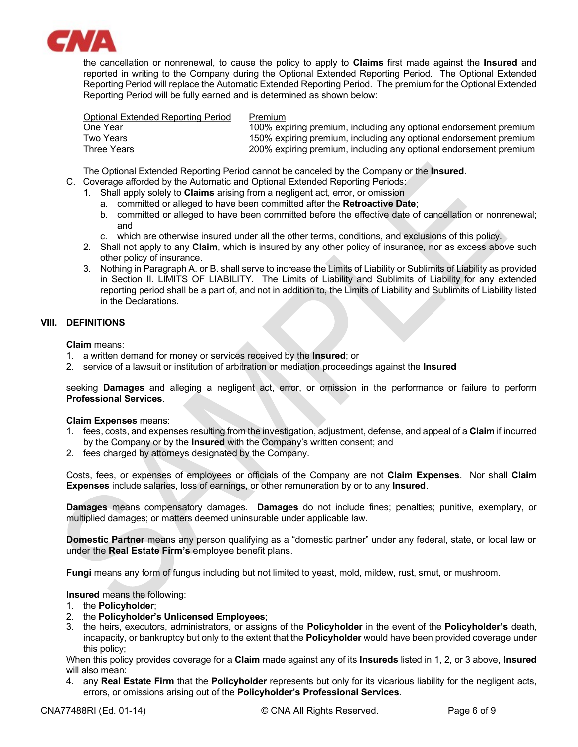

the cancellation or nonrenewal, to cause the policy to apply to Claims first made against the Insured and reported in writing to the Company during the Optional Extended Reporting Period. The Optional Extended Reporting Period will replace the Automatic Extended Reporting Period. The premium for the Optional Extended Reporting Period will be fully earned and is determined as shown below:

| Optional Extended Reporting Period | Premium                                                           |
|------------------------------------|-------------------------------------------------------------------|
| One Year                           | 100% expiring premium, including any optional endorsement premium |
| Two Years                          | 150% expiring premium, including any optional endorsement premium |
| Three Years                        | 200% expiring premium, including any optional endorsement premium |

The Optional Extended Reporting Period cannot be canceled by the Company or the Insured.

- C. Coverage afforded by the Automatic and Optional Extended Reporting Periods:
	- 1. Shall apply solely to **Claims** arising from a negligent act, error, or omission
		- a. committed or alleged to have been committed after the Retroactive Date;
		- b. committed or alleged to have been committed before the effective date of cancellation or nonrenewal; and
		- c. which are otherwise insured under all the other terms, conditions, and exclusions of this policy.
	- 2. Shall not apply to any Claim, which is insured by any other policy of insurance, nor as excess above such other policy of insurance.
	- 3. Nothing in Paragraph A. or B. shall serve to increase the Limits of Liability or Sublimits of Liability as provided in Section II. LIMITS OF LIABILITY. The Limits of Liability and Sublimits of Liability for any extended reporting period shall be a part of, and not in addition to, the Limits of Liability and Sublimits of Liability listed in the Declarations.

## VIII. DEFINITIONS

Claim means:

- 1. a written demand for money or services received by the Insured; or
- 2. service of a lawsuit or institution of arbitration or mediation proceedings against the Insured

seeking **Damages** and alleging a negligent act, error, or omission in the performance or failure to perform Professional Services.

## Claim Expenses means:

- 1. fees, costs, and expenses resulting from the investigation, adjustment, defense, and appeal of a Claim if incurred by the Company or by the Insured with the Company's written consent; and
- 2. fees charged by attorneys designated by the Company.

Costs, fees, or expenses of employees or officials of the Company are not Claim Expenses. Nor shall Claim Expenses include salaries, loss of earnings, or other remuneration by or to any Insured.

Damages means compensatory damages. Damages do not include fines; penalties; punitive, exemplary, or multiplied damages; or matters deemed uninsurable under applicable law.

Domestic Partner means any person qualifying as a "domestic partner" under any federal, state, or local law or under the Real Estate Firm's employee benefit plans.

Fungi means any form of fungus including but not limited to yeast, mold, mildew, rust, smut, or mushroom.

Insured means the following:

- 1. the Policyholder;
- 2. the Policyholder's Unlicensed Employees;
- 3. the heirs, executors, administrators, or assigns of the Policyholder in the event of the Policyholder's death, incapacity, or bankruptcy but only to the extent that the **Policyholder** would have been provided coverage under this policy;

When this policy provides coverage for a Claim made against any of its Insureds listed in 1, 2, or 3 above, Insured will also mean:

4. any Real Estate Firm that the Policyholder represents but only for its vicarious liability for the negligent acts, errors, or omissions arising out of the Policyholder's Professional Services.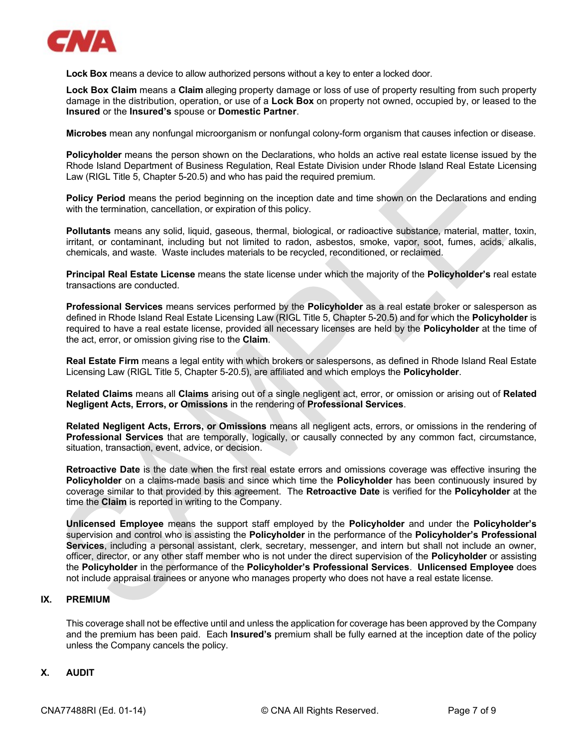

Lock Box means a device to allow authorized persons without a key to enter a locked door.

Lock Box Claim means a Claim alleging property damage or loss of use of property resulting from such property damage in the distribution, operation, or use of a Lock Box on property not owned, occupied by, or leased to the Insured or the Insured's spouse or Domestic Partner.

Microbes mean any nonfungal microorganism or nonfungal colony-form organism that causes infection or disease.

Policyholder means the person shown on the Declarations, who holds an active real estate license issued by the Rhode Island Department of Business Regulation, Real Estate Division under Rhode Island Real Estate Licensing Law (RIGL Title 5, Chapter 5-20.5) and who has paid the required premium.

Policy Period means the period beginning on the inception date and time shown on the Declarations and ending with the termination, cancellation, or expiration of this policy.

Pollutants means any solid, liquid, gaseous, thermal, biological, or radioactive substance, material, matter, toxin, irritant, or contaminant, including but not limited to radon, asbestos, smoke, vapor, soot, fumes, acids, alkalis, chemicals, and waste. Waste includes materials to be recycled, reconditioned, or reclaimed.

Principal Real Estate License means the state license under which the majority of the Policyholder's real estate transactions are conducted.

Professional Services means services performed by the Policyholder as a real estate broker or salesperson as defined in Rhode Island Real Estate Licensing Law (RIGL Title 5, Chapter 5-20.5) and for which the Policyholder is required to have a real estate license, provided all necessary licenses are held by the Policyholder at the time of the act, error, or omission giving rise to the Claim.

Real Estate Firm means a legal entity with which brokers or salespersons, as defined in Rhode Island Real Estate Licensing Law (RIGL Title 5, Chapter 5-20.5), are affiliated and which employs the Policyholder.

Related Claims means all Claims arising out of a single negligent act, error, or omission or arising out of Related Negligent Acts, Errors, or Omissions in the rendering of Professional Services.

Related Negligent Acts, Errors, or Omissions means all negligent acts, errors, or omissions in the rendering of Professional Services that are temporally, logically, or causally connected by any common fact, circumstance, situation, transaction, event, advice, or decision.

Retroactive Date is the date when the first real estate errors and omissions coverage was effective insuring the Policyholder on a claims-made basis and since which time the Policyholder has been continuously insured by coverage similar to that provided by this agreement. The Retroactive Date is verified for the Policyholder at the time the Claim is reported in writing to the Company.

Unlicensed Employee means the support staff employed by the Policyholder and under the Policyholder's supervision and control who is assisting the Policyholder in the performance of the Policyholder's Professional Services, including a personal assistant, clerk, secretary, messenger, and intern but shall not include an owner, officer, director, or any other staff member who is not under the direct supervision of the Policyholder or assisting the Policyholder in the performance of the Policyholder's Professional Services. Unlicensed Employee does not include appraisal trainees or anyone who manages property who does not have a real estate license.

## IX. PREMIUM

This coverage shall not be effective until and unless the application for coverage has been approved by the Company and the premium has been paid. Each **Insured's** premium shall be fully earned at the inception date of the policy unless the Company cancels the policy.

## X. AUDIT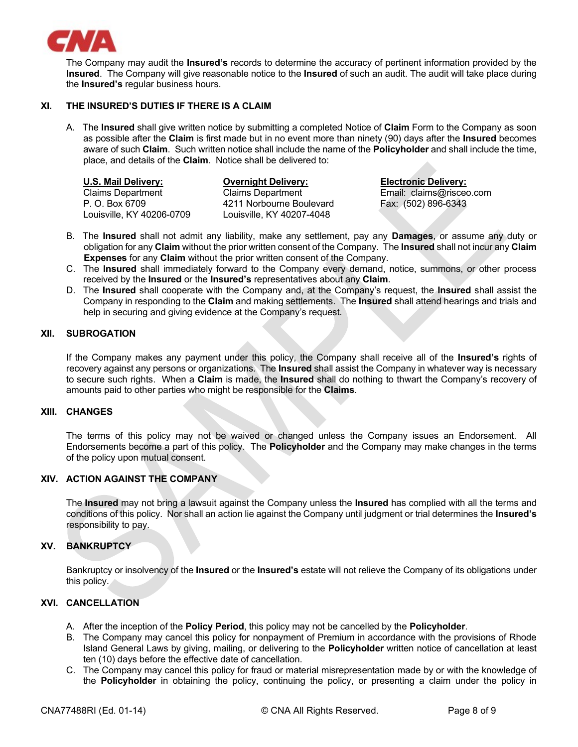

The Company may audit the **Insured's** records to determine the accuracy of pertinent information provided by the Insured. The Company will give reasonable notice to the Insured of such an audit. The audit will take place during the Insured's regular business hours.

# XI. THE INSURED'S DUTIES IF THERE IS A CLAIM

A. The Insured shall give written notice by submitting a completed Notice of Claim Form to the Company as soon as possible after the Claim is first made but in no event more than ninety (90) days after the Insured becomes aware of such Claim. Such written notice shall include the name of the Policyholder and shall include the time, place, and details of the Claim. Notice shall be delivered to:

| U.S. Mail Delivery:       | <b>Overnight Delivery:</b> | <b>Electronic Delivery:</b> |
|---------------------------|----------------------------|-----------------------------|
| <b>Claims Department</b>  | <b>Claims Department</b>   | Email: claims@risceo.com    |
| P. O. Box 6709            | 4211 Norbourne Boulevard   | Fax: (502) 896-6343         |
| Louisville. KY 40206-0709 | Louisville, KY 40207-4048  |                             |

- B. The Insured shall not admit any liability, make any settlement, pay any Damages, or assume any duty or obligation for any Claim without the prior written consent of the Company. The Insured shall not incur any Claim Expenses for any Claim without the prior written consent of the Company.
- C. The Insured shall immediately forward to the Company every demand, notice, summons, or other process received by the Insured or the Insured's representatives about any Claim.
- D. The Insured shall cooperate with the Company and, at the Company's request, the Insured shall assist the Company in responding to the Claim and making settlements. The Insured shall attend hearings and trials and help in securing and giving evidence at the Company's request.

## XII. SUBROGATION

If the Company makes any payment under this policy, the Company shall receive all of the Insured's rights of recovery against any persons or organizations. The Insured shall assist the Company in whatever way is necessary to secure such rights. When a Claim is made, the Insured shall do nothing to thwart the Company's recovery of amounts paid to other parties who might be responsible for the Claims.

## XIII. CHANGES

The terms of this policy may not be waived or changed unless the Company issues an Endorsement. All Endorsements become a part of this policy. The Policyholder and the Company may make changes in the terms of the policy upon mutual consent.

# XIV. ACTION AGAINST THE COMPANY

The Insured may not bring a lawsuit against the Company unless the Insured has complied with all the terms and conditions of this policy. Nor shall an action lie against the Company until judgment or trial determines the Insured's responsibility to pay.

## XV. BANKRUPTCY

Bankruptcy or insolvency of the Insured or the Insured's estate will not relieve the Company of its obligations under this policy.

## XVI. CANCELLATION

- A. After the inception of the Policy Period, this policy may not be cancelled by the Policyholder.
- B. The Company may cancel this policy for nonpayment of Premium in accordance with the provisions of Rhode Island General Laws by giving, mailing, or delivering to the Policyholder written notice of cancellation at least ten (10) days before the effective date of cancellation.
- C. The Company may cancel this policy for fraud or material misrepresentation made by or with the knowledge of the Policyholder in obtaining the policy, continuing the policy, or presenting a claim under the policy in